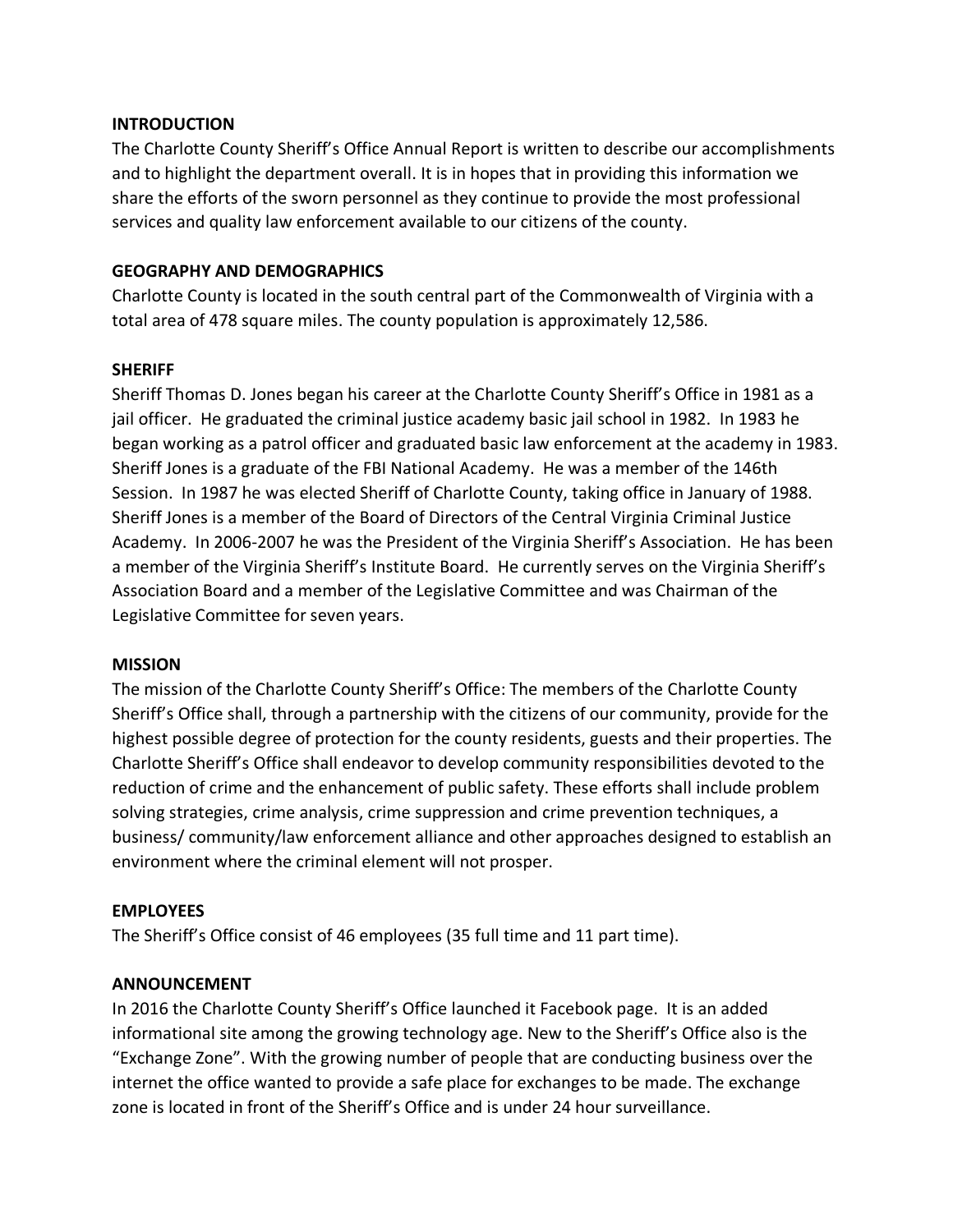### **INTRODUCTION**

The Charlotte County Sheriff's Office Annual Report is written to describe our accomplishments and to highlight the department overall. It is in hopes that in providing this information we share the efforts of the sworn personnel as they continue to provide the most professional services and quality law enforcement available to our citizens of the county.

## **GEOGRAPHY AND DEMOGRAPHICS**

Charlotte County is located in the south central part of the Commonwealth of Virginia with a total area of 478 square miles. The county population is approximately 12,586.

### **SHERIFF**

Sheriff Thomas D. Jones began his career at the Charlotte County Sheriff's Office in 1981 as a jail officer. He graduated the criminal justice academy basic jail school in 1982. In 1983 he began working as a patrol officer and graduated basic law enforcement at the academy in 1983. Sheriff Jones is a graduate of the FBI National Academy. He was a member of the 146th Session. In 1987 he was elected Sheriff of Charlotte County, taking office in January of 1988. Sheriff Jones is a member of the Board of Directors of the Central Virginia Criminal Justice Academy. In 2006-2007 he was the President of the Virginia Sheriff's Association. He has been a member of the Virginia Sheriff's Institute Board. He currently serves on the Virginia Sheriff's Association Board and a member of the Legislative Committee and was Chairman of the Legislative Committee for seven years.

### **MISSION**

The mission of the Charlotte County Sheriff's Office: The members of the Charlotte County Sheriff's Office shall, through a partnership with the citizens of our community, provide for the highest possible degree of protection for the county residents, guests and their properties. The Charlotte Sheriff's Office shall endeavor to develop community responsibilities devoted to the reduction of crime and the enhancement of public safety. These efforts shall include problem solving strategies, crime analysis, crime suppression and crime prevention techniques, a business/ community/law enforcement alliance and other approaches designed to establish an environment where the criminal element will not prosper.

# **EMPLOYEES**

The Sheriff's Office consist of 46 employees (35 full time and 11 part time).

# **ANNOUNCEMENT**

In 2016 the Charlotte County Sheriff's Office launched it Facebook page. It is an added informational site among the growing technology age. New to the Sheriff's Office also is the "Exchange Zone". With the growing number of people that are conducting business over the internet the office wanted to provide a safe place for exchanges to be made. The exchange zone is located in front of the Sheriff's Office and is under 24 hour surveillance.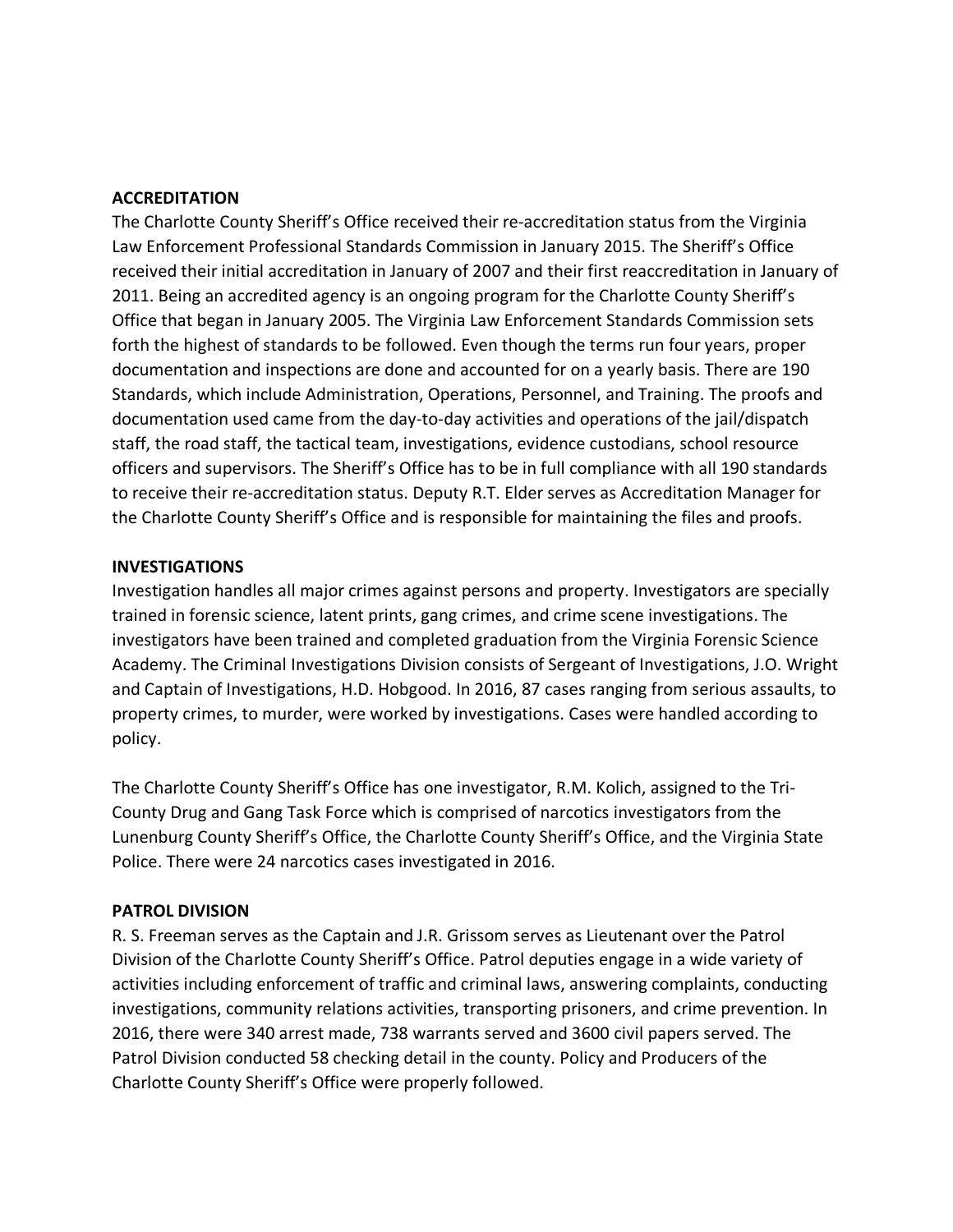### **ACCREDITATION**

The Charlotte County Sheriff's Office received their re-accreditation status from the Virginia Law Enforcement Professional Standards Commission in January 2015. The Sheriff's Office received their initial accreditation in January of 2007 and their first reaccreditation in January of 2011. Being an accredited agency is an ongoing program for the Charlotte County Sheriff's Office that began in January 2005. The Virginia Law Enforcement Standards Commission sets forth the highest of standards to be followed. Even though the terms run four years, proper documentation and inspections are done and accounted for on a yearly basis. There are 190 Standards, which include Administration, Operations, Personnel, and Training. The proofs and documentation used came from the day-to-day activities and operations of the jail/dispatch staff, the road staff, the tactical team, investigations, evidence custodians, school resource officers and supervisors. The Sheriff's Office has to be in full compliance with all 190 standards to receive their re-accreditation status. Deputy R.T. Elder serves as Accreditation Manager for the Charlotte County Sheriff's Office and is responsible for maintaining the files and proofs.

### **INVESTIGATIONS**

Investigation handles all major crimes against persons and property. Investigators are specially trained in forensic science, latent prints, gang crimes, and crime scene investigations. The investigators have been trained and completed graduation from the Virginia Forensic Science Academy. The Criminal Investigations Division consists of Sergeant of Investigations, J.O. Wright and Captain of Investigations, H.D. Hobgood. In 2016, 87 cases ranging from serious assaults, to property crimes, to murder, were worked by investigations. Cases were handled according to policy.

The Charlotte County Sheriff's Office has one investigator, R.M. Kolich, assigned to the Tri-County Drug and Gang Task Force which is comprised of narcotics investigators from the Lunenburg County Sheriff's Office, the Charlotte County Sheriff's Office, and the Virginia State Police. There were 24 narcotics cases investigated in 2016.

# **PATROL DIVISION**

R. S. Freeman serves as the Captain and J.R. Grissom serves as Lieutenant over the Patrol Division of the Charlotte County Sheriff's Office. Patrol deputies engage in a wide variety of activities including enforcement of traffic and criminal laws, answering complaints, conducting investigations, community relations activities, transporting prisoners, and crime prevention. In 2016, there were 340 arrest made, 738 warrants served and 3600 civil papers served. The Patrol Division conducted 58 checking detail in the county. Policy and Producers of the Charlotte County Sheriff's Office were properly followed.